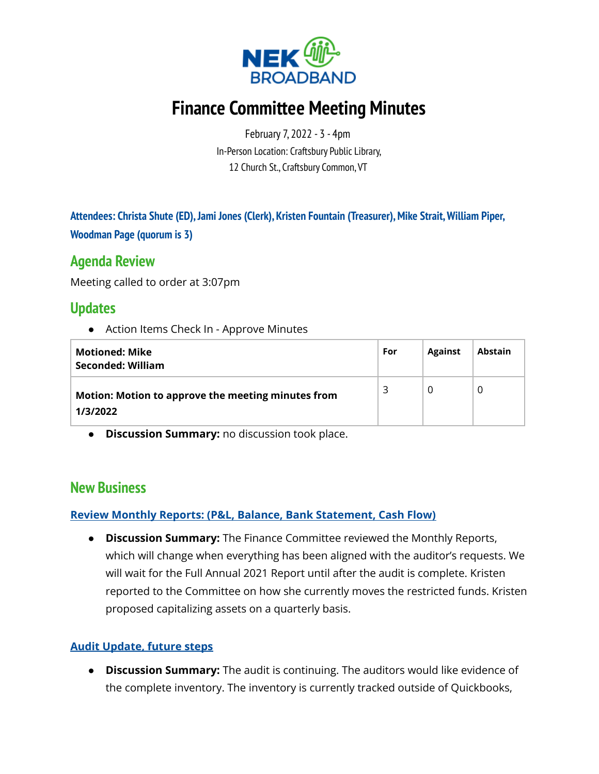

# **Finance Committee Meeting Minutes**

February 7, 2022 - 3 - 4pm In-Person Location: Craftsbury Public Library, 12 Church St., Craftsbury Common, VT

**Attendees: Christa Shute (ED),Jami Jones (Clerk), Kristen Fountain (Treasurer),Mike Strait,William Piper, Woodman Page (quorum is 3)**

### **Agenda Review**

Meeting called to order at 3:07pm

### **Updates**

● Action Items Check In - Approve Minutes

| <b>Motioned: Mike</b><br>Seconded: William                     | For | <b>Against</b> | <b>Abstain</b> |
|----------------------------------------------------------------|-----|----------------|----------------|
| Motion: Motion to approve the meeting minutes from<br>1/3/2022 | ₹   | 0              |                |

**● Discussion Summary:** no discussion took place.

### **New Business**

#### **Review Monthly Reports: (P&L, Balance, Bank Statement, Cash Flow)**

● **Discussion Summary:** The Finance Committee reviewed the Monthly Reports, which will change when everything has been aligned with the auditor's requests. We will wait for the Full Annual 2021 Report until after the audit is complete. Kristen reported to the Committee on how she currently moves the restricted funds. Kristen proposed capitalizing assets on a quarterly basis.

#### **Audit Update, future steps**

● **Discussion Summary:** The audit is continuing. The auditors would like evidence of the complete inventory. The inventory is currently tracked outside of Quickbooks,